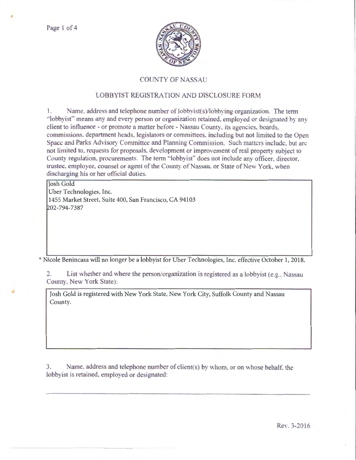Page 1 of 4



## **COUNTY OF NASSAU**

## LOBBYIST REGISTRATION AND DISCLOSURE FORM

L. Name, address and telephone number of lobbyist(s)/lobbying organization. The term "lobbyist" means any and every person or organization retained, employed or designated by any client to influence - or promote a matter before - Nassau County, its agencies, boards, commissions, department heads, legislators or committees, including but not limited to the Open Space and Parks Advisory Committee and Planning Commission. Such matters include, but are not limited to, requests for proposals, development or improvement of real property subject to County regulation, procurements. The term "lobbyist" does not include any officer, director, trustee, employee, counsel or agent of the County of Nassau, or State of New York, when discharging his or her official duties.

**Josh Gold** Uber Technologies, Inc. 1455 Market Street, Suite 400, San Francisco, CA 94103 202-794-7387

\* Nicole Benincasa will no longer be a lobbyist for Uber Technologies, Inc. effective October 1, 2018.

List whether and where the person/organization is registered as a lobbyist (e.g., Nassau  $2.$ County, New York State):

Josh Gold is registered with New York State, New York City, Suffolk County and Nassau County.

Name, address and telephone number of client(s) by whom, or on whose behalf, the 3. lobbyist is retained, employed or designated:

Rev. 3-2016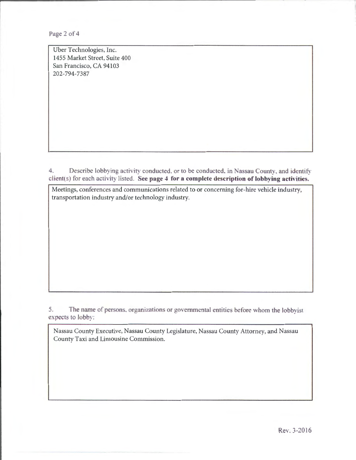Page 2 of 4

Uber Technologies, Inc. 1455 Market Street, Suite 400 San Francisco, CA 94103 202-794-7387

4. Describe lobbying activity conducted, or to be conducted, in Nassau County, and identify client(s) for each activity listed. See page 4 for a complete description of lobbying activities.

Meetings, conferences and communications related to or concerning for-hire vehicle industry, transportation industry and/or technology industry.

5. The name of persons, organizations or governmental entities before whom the lobbyist expects to lobby:

Nassau County Executive, Nassau County Legislature, Nassau County Attorney, and Nassau County Taxi and Limousine Commission.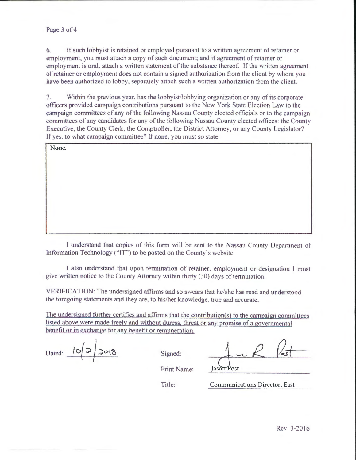6. If such lobbyist is retained or employed pursuant to a written agreement of retainer or employment. you must attach a copy of such document: and if agreement of retainer or employment is oral, attach a written statement of the substance thereof. If the written agreement of retainer or employment does not contain a signed authorization from the client by whom you have been authorized to lobby, separately attach such a written authorization from the client.

7. Within the previous year, has the lobbyist/lobbying organization or any of its corporate officers provided campaign contributions pursuant to the New York State Election Law to the campaign committees of any of the following Nassau County elected officials or to the campaign committees of any candidates for any of the following Nassau County elected offices: the County Executive, the County Clerk, the Comptroller, the District Attorney, or any County Legislator? If yes, to what campaign committee? If none, you must so state:

| None. |  |  |
|-------|--|--|
|       |  |  |
|       |  |  |
|       |  |  |
|       |  |  |
|       |  |  |
|       |  |  |
|       |  |  |

I understand that copies of this form will be sent to the Nassau County Department of Information Technology ("IT") to be posted on the County's website.

I also understand that upon termination of retainer, employment or designation 1 must give written notice to the County Attorney within thirty (30) days of termination.

VERIFICATION: The undersigned affirms and so swears that he/she has read and understood the foregoing statements and they are, to his/her knowledge, true and accurate.

The undersigned further certifies and affirms that the contribution(s) to the campaign committees listed above were made freely and without duress, threat or any promise of a governmental benefit or in exchange for any benefit or remuneration.

| Dated: | ∝ | O(7)<br>っ |
|--------|---|-----------|
|        |   |           |

Dated:  $100$   $2018$  Signed:  $116$   $1251$ 

Print Name: Jason Post

Title: Communications Director, East